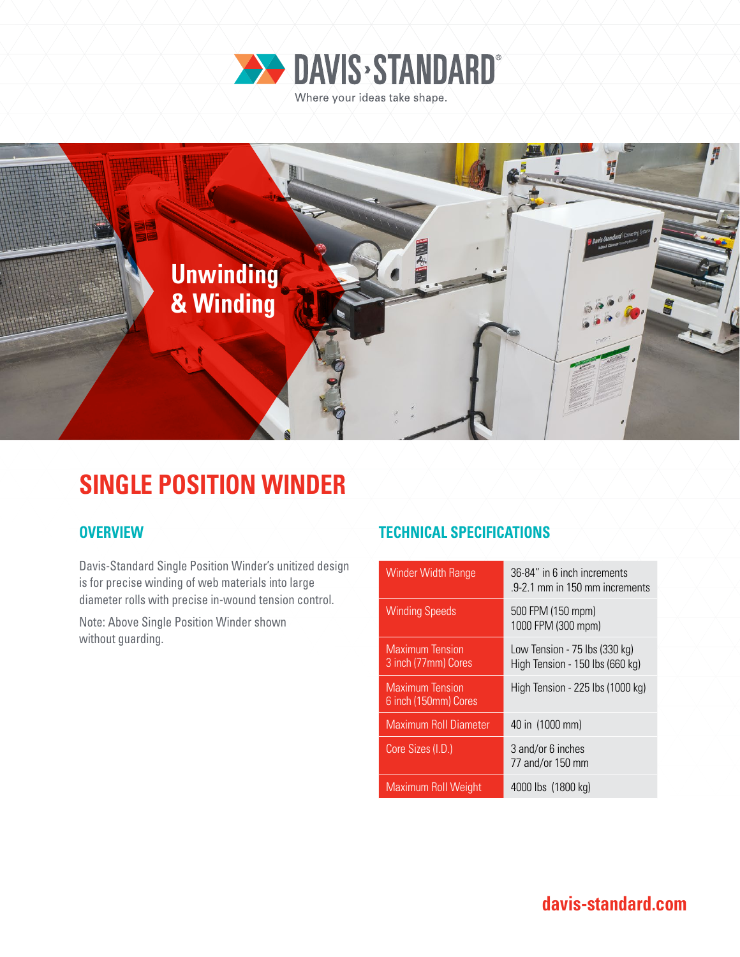



## **SINGLE POSITION WINDER**

Davis-Standard Single Position Winder's unitized design is for precise winding of web materials into large diameter rolls with precise in-wound tension control.

Note: Above Single Position Winder shown without guarding.

### **OVERVIEW TECHNICAL SPECIFICATIONS**

| <b>Winder Width Range</b>                      | 36-84" in 6 inch increments<br>9-2.1 mm in 150 mm increments     |
|------------------------------------------------|------------------------------------------------------------------|
| <b>Winding Speeds</b>                          | 500 FPM (150 mpm)<br>1000 FPM (300 mpm)                          |
| <b>Maximum</b> Tension<br>3 inch (77mm) Cores  | Low Tension - 75 lbs (330 kg)<br>High Tension - 150 lbs (660 kg) |
| <b>Maximum Tension</b><br>6 inch (150mm) Cores | High Tension - 225 lbs (1000 kg)                                 |
| <b>Maximum Roll Diameter</b>                   | 40 in (1000 mm)                                                  |
| Core Sizes (I.D.)                              | 3 and/or 6 inches<br>77 and/or 150 mm                            |
| Maximum Roll Weight                            | 4000 lbs (1800 kg)                                               |

**davis-standard.com**